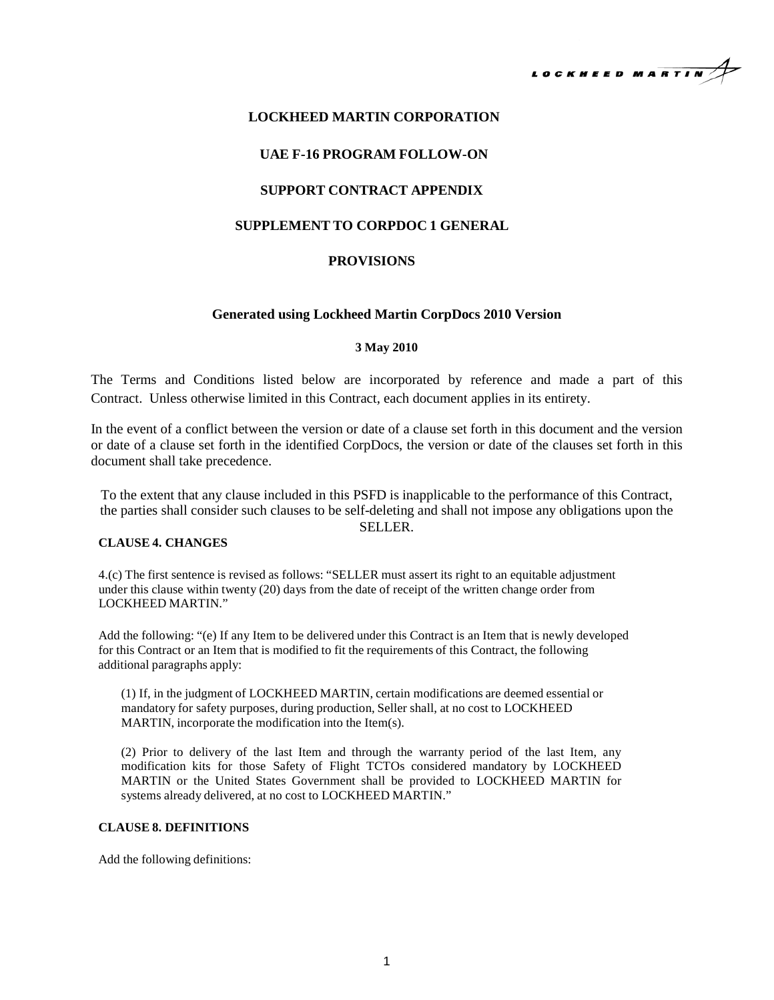

# **LOCKHEED MARTIN CORPORATION**

# **UAE F-16 PROGRAM FOLLOW-ON**

## **SUPPORT CONTRACT APPENDIX**

# **SUPPLEMENT TO CORPDOC 1 GENERAL**

### **PROVISIONS**

#### **Generated using Lockheed Martin CorpDocs 2010 Version**

### **3 May 2010**

The Terms and Conditions listed below are incorporated by reference and made a part of this Contract. Unless otherwise limited in this Contract, each document applies in its entirety.

In the event of a conflict between the version or date of a clause set forth in this document and the version or date of a clause set forth in the identified CorpDocs, the version or date of the clauses set forth in this document shall take precedence.

To the extent that any clause included in this PSFD is inapplicable to the performance of this Contract, the parties shall consider such clauses to be self-deleting and shall not impose any obligations upon the SELLER.

#### **CLAUSE 4. CHANGES**

4.(c) The first sentence is revised as follows: "SELLER must assert its right to an equitable adjustment under this clause within twenty (20) days from the date of receipt of the written change order from LOCKHEED MARTIN."

Add the following: "(e) If any Item to be delivered under this Contract is an Item that is newly developed for this Contract or an Item that is modified to fit the requirements of this Contract, the following additional paragraphs apply:

(1) If, in the judgment of LOCKHEED MARTIN, certain modifications are deemed essential or mandatory for safety purposes, during production, Seller shall, at no cost to LOCKHEED MARTIN, incorporate the modification into the Item(s).

(2) Prior to delivery of the last Item and through the warranty period of the last Item, any modification kits for those Safety of Flight TCTOs considered mandatory by LOCKHEED MARTIN or the United States Government shall be provided to LOCKHEED MARTIN for systems already delivered, at no cost to LOCKHEED MARTIN."

#### **CLAUSE 8. DEFINITIONS**

Add the following definitions: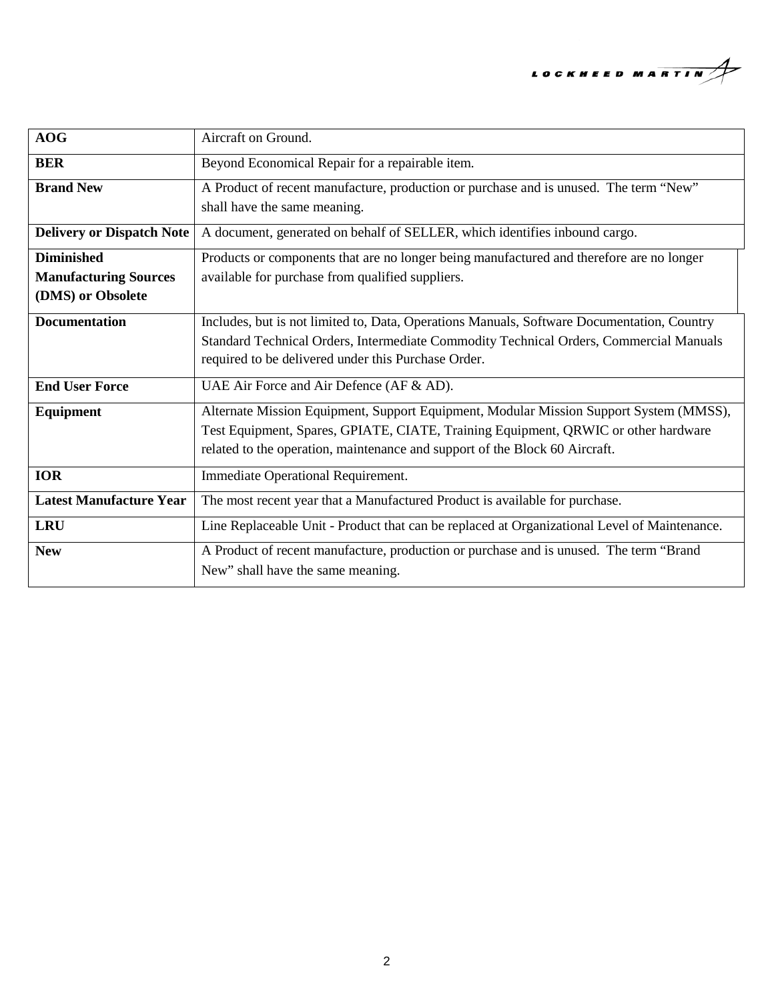

| <b>AOG</b>                                                             | Aircraft on Ground.                                                                                                                                                                                                                                         |
|------------------------------------------------------------------------|-------------------------------------------------------------------------------------------------------------------------------------------------------------------------------------------------------------------------------------------------------------|
| <b>BER</b>                                                             | Beyond Economical Repair for a repairable item.                                                                                                                                                                                                             |
| <b>Brand New</b>                                                       | A Product of recent manufacture, production or purchase and is unused. The term "New"<br>shall have the same meaning.                                                                                                                                       |
| <b>Delivery or Dispatch Note</b>                                       | A document, generated on behalf of SELLER, which identifies inbound cargo.                                                                                                                                                                                  |
| <b>Diminished</b><br><b>Manufacturing Sources</b><br>(DMS) or Obsolete | Products or components that are no longer being manufactured and therefore are no longer<br>available for purchase from qualified suppliers.                                                                                                                |
| <b>Documentation</b>                                                   | Includes, but is not limited to, Data, Operations Manuals, Software Documentation, Country<br>Standard Technical Orders, Intermediate Commodity Technical Orders, Commercial Manuals<br>required to be delivered under this Purchase Order.                 |
| <b>End User Force</b>                                                  | UAE Air Force and Air Defence (AF & AD).                                                                                                                                                                                                                    |
| Equipment                                                              | Alternate Mission Equipment, Support Equipment, Modular Mission Support System (MMSS),<br>Test Equipment, Spares, GPIATE, CIATE, Training Equipment, QRWIC or other hardware<br>related to the operation, maintenance and support of the Block 60 Aircraft. |
| <b>IOR</b>                                                             | Immediate Operational Requirement.                                                                                                                                                                                                                          |
| <b>Latest Manufacture Year</b>                                         | The most recent year that a Manufactured Product is available for purchase.                                                                                                                                                                                 |
| <b>LRU</b>                                                             | Line Replaceable Unit - Product that can be replaced at Organizational Level of Maintenance.                                                                                                                                                                |
| <b>New</b>                                                             | A Product of recent manufacture, production or purchase and is unused. The term "Brand<br>New" shall have the same meaning.                                                                                                                                 |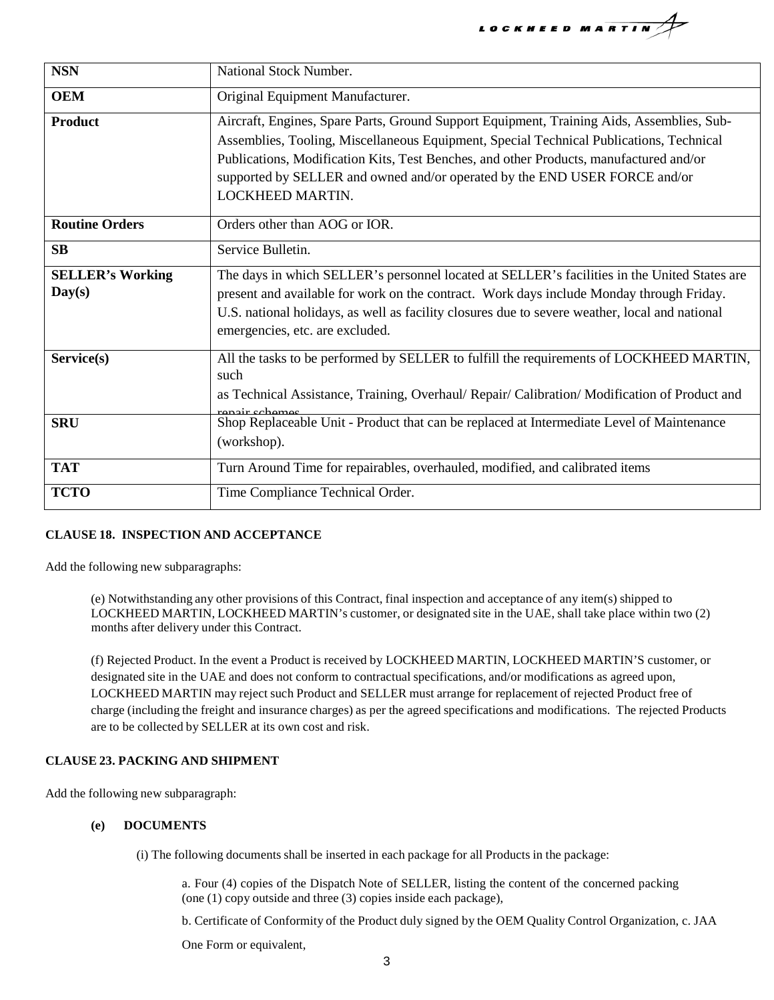LOCKHEED MARTIN

| <b>NSN</b>                        | National Stock Number.                                                                                                                                                                                                                                                                                                                                                           |
|-----------------------------------|----------------------------------------------------------------------------------------------------------------------------------------------------------------------------------------------------------------------------------------------------------------------------------------------------------------------------------------------------------------------------------|
| <b>OEM</b>                        | Original Equipment Manufacturer.                                                                                                                                                                                                                                                                                                                                                 |
| <b>Product</b>                    | Aircraft, Engines, Spare Parts, Ground Support Equipment, Training Aids, Assemblies, Sub-<br>Assemblies, Tooling, Miscellaneous Equipment, Special Technical Publications, Technical<br>Publications, Modification Kits, Test Benches, and other Products, manufactured and/or<br>supported by SELLER and owned and/or operated by the END USER FORCE and/or<br>LOCKHEED MARTIN. |
| <b>Routine Orders</b>             | Orders other than AOG or IOR.                                                                                                                                                                                                                                                                                                                                                    |
| <b>SB</b>                         | Service Bulletin.                                                                                                                                                                                                                                                                                                                                                                |
| <b>SELLER's Working</b><br>Day(s) | The days in which SELLER's personnel located at SELLER's facilities in the United States are<br>present and available for work on the contract. Work days include Monday through Friday.<br>U.S. national holidays, as well as facility closures due to severe weather, local and national<br>emergencies, etc. are excluded.                                                    |
| Service(s)                        | All the tasks to be performed by SELLER to fulfill the requirements of LOCKHEED MARTIN,<br>such<br>as Technical Assistance, Training, Overhaul/ Repair/ Calibration/ Modification of Product and<br>rangir schamas                                                                                                                                                               |
| <b>SRU</b>                        | Shop Replaceable Unit - Product that can be replaced at Intermediate Level of Maintenance<br>(workshop).                                                                                                                                                                                                                                                                         |
| <b>TAT</b>                        | Turn Around Time for repairables, overhauled, modified, and calibrated items                                                                                                                                                                                                                                                                                                     |
| <b>TCTO</b>                       | Time Compliance Technical Order.                                                                                                                                                                                                                                                                                                                                                 |

# **CLAUSE 18. INSPECTION AND ACCEPTANCE**

Add the following new subparagraphs:

(e) Notwithstanding any other provisions of this Contract, final inspection and acceptance of any item(s) shipped to LOCKHEED MARTIN, LOCKHEED MARTIN's customer, or designated site in the UAE, shall take place within two (2) months after delivery under this Contract.

(f) Rejected Product. In the event a Product is received by LOCKHEED MARTIN, LOCKHEED MARTIN'S customer, or designated site in the UAE and does not conform to contractual specifications, and/or modifications as agreed upon, LOCKHEED MARTIN may reject such Product and SELLER must arrange for replacement of rejected Product free of charge (including the freight and insurance charges) as per the agreed specifications and modifications. The rejected Products are to be collected by SELLER at its own cost and risk.

# **CLAUSE 23. PACKING AND SHIPMENT**

Add the following new subparagraph:

# **(e) DOCUMENTS**

(i) The following documents shall be inserted in each package for all Products in the package:

a. Four (4) copies of the Dispatch Note of SELLER, listing the content of the concerned packing (one (1) copy outside and three (3) copies inside each package),

b. Certificate of Conformity of the Product duly signed by the OEM Quality Control Organization, c. JAA

One Form or equivalent,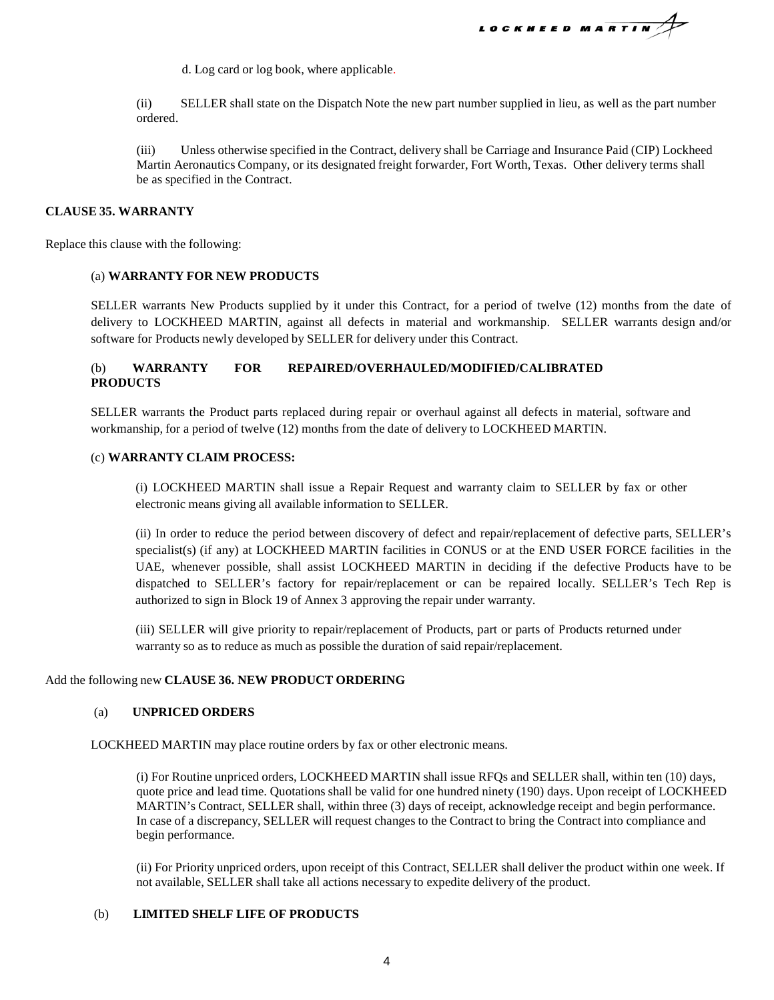LOCKHEED MARTIN

d. Log card or log book, where applicable.

(ii) SELLER shall state on the Dispatch Note the new part number supplied in lieu, as well as the part number ordered.

(iii) Unless otherwise specified in the Contract, delivery shall be Carriage and Insurance Paid (CIP) Lockheed Martin Aeronautics Company, or its designated freight forwarder, Fort Worth, Texas. Other delivery terms shall be as specified in the Contract.

### **CLAUSE 35. WARRANTY**

Replace this clause with the following:

### (a) **WARRANTY FOR NEW PRODUCTS**

SELLER warrants New Products supplied by it under this Contract, for a period of twelve (12) months from the date of delivery to LOCKHEED MARTIN, against all defects in material and workmanship. SELLER warrants design and/or software for Products newly developed by SELLER for delivery under this Contract.

# (b) **WARRANTY FOR REPAIRED/OVERHAULED/MODIFIED/CALIBRATED PRODUCTS**

SELLER warrants the Product parts replaced during repair or overhaul against all defects in material, software and workmanship, for a period of twelve (12) months from the date of delivery to LOCKHEED MARTIN.

### (c) **WARRANTY CLAIM PROCESS:**

(i) LOCKHEED MARTIN shall issue a Repair Request and warranty claim to SELLER by fax or other electronic means giving all available information to SELLER.

(ii) In order to reduce the period between discovery of defect and repair/replacement of defective parts, SELLER's specialist(s) (if any) at LOCKHEED MARTIN facilities in CONUS or at the END USER FORCE facilities in the UAE, whenever possible, shall assist LOCKHEED MARTIN in deciding if the defective Products have to be dispatched to SELLER's factory for repair/replacement or can be repaired locally. SELLER's Tech Rep is authorized to sign in Block 19 of Annex 3 approving the repair under warranty.

(iii) SELLER will give priority to repair/replacement of Products, part or parts of Products returned under warranty so as to reduce as much as possible the duration of said repair/replacement.

# Add the following new **CLAUSE 36. NEW PRODUCT ORDERING**

#### (a) **UNPRICED ORDERS**

LOCKHEED MARTIN may place routine orders by fax or other electronic means.

(i) For Routine unpriced orders, LOCKHEED MARTIN shall issue RFQs and SELLER shall, within ten (10) days, quote price and lead time. Quotations shall be valid for one hundred ninety (190) days. Upon receipt of LOCKHEED MARTIN's Contract, SELLER shall, within three (3) days of receipt, acknowledge receipt and begin performance. In case of a discrepancy, SELLER will request changes to the Contract to bring the Contract into compliance and begin performance.

(ii) For Priority unpriced orders, upon receipt of this Contract, SELLER shall deliver the product within one week. If not available, SELLER shall take all actions necessary to expedite delivery of the product.

# (b) **LIMITED SHELF LIFE OF PRODUCTS**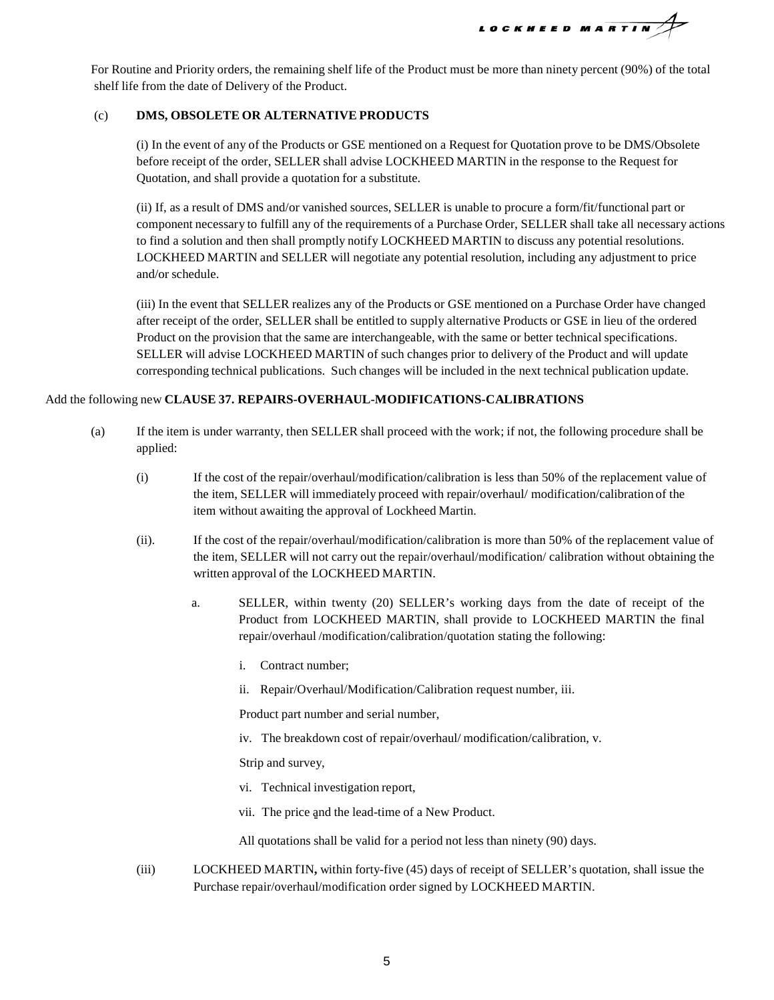LOCKHEED MARTIN

For Routine and Priority orders, the remaining shelf life of the Product must be more than ninety percent (90%) of the total shelf life from the date of Delivery of the Product.

## (c) **DMS, OBSOLETE OR ALTERNATIVE PRODUCTS**

(i) In the event of any of the Products or GSE mentioned on a Request for Quotation prove to be DMS/Obsolete before receipt of the order, SELLER shall advise LOCKHEED MARTIN in the response to the Request for Quotation, and shall provide a quotation for a substitute.

(ii) If, as a result of DMS and/or vanished sources, SELLER is unable to procure a form/fit/functional part or component necessary to fulfill any of the requirements of a Purchase Order, SELLER shall take all necessary actions to find a solution and then shall promptly notify LOCKHEED MARTIN to discuss any potential resolutions. LOCKHEED MARTIN and SELLER will negotiate any potential resolution, including any adjustment to price and/or schedule.

(iii) In the event that SELLER realizes any of the Products or GSE mentioned on a Purchase Order have changed after receipt of the order, SELLER shall be entitled to supply alternative Products or GSE in lieu of the ordered Product on the provision that the same are interchangeable, with the same or better technical specifications. SELLER will advise LOCKHEED MARTIN of such changes prior to delivery of the Product and will update corresponding technical publications. Such changes will be included in the next technical publication update.

### Add the following new **CLAUSE 37. REPAIRS-OVERHAUL-MODIFICATIONS-CALIBRATIONS**

- (a) If the item is under warranty, then SELLER shall proceed with the work; if not, the following procedure shall be applied:
	- (i) If the cost of the repair/overhaul/modification/calibration is less than 50% of the replacement value of the item, SELLER will immediately proceed with repair/overhaul/ modification/calibration of the item without awaiting the approval of Lockheed Martin.
	- (ii). If the cost of the repair/overhaul/modification/calibration is more than 50% of the replacement value of the item, SELLER will not carry out the repair/overhaul/modification/ calibration without obtaining the written approval of the LOCKHEED MARTIN.
		- a. SELLER, within twenty (20) SELLER's working days from the date of receipt of the Product from LOCKHEED MARTIN, shall provide to LOCKHEED MARTIN the final repair/overhaul /modification/calibration/quotation stating the following:
			- i. Contract number;
			- ii. Repair/Overhaul/Modification/Calibration request number, iii.

Product part number and serial number,

iv. The breakdown cost of repair/overhaul/ modification/calibration, v.

Strip and survey,

- vi. Technical investigation report,
- vii. The price and the lead-time of a New Product.
- All quotations shall be valid for a period not less than ninety (90) days.
- (iii) LOCKHEED MARTIN**,** within forty-five (45) days of receipt of SELLER's quotation, shall issue the Purchase repair/overhaul/modification order signed by LOCKHEED MARTIN.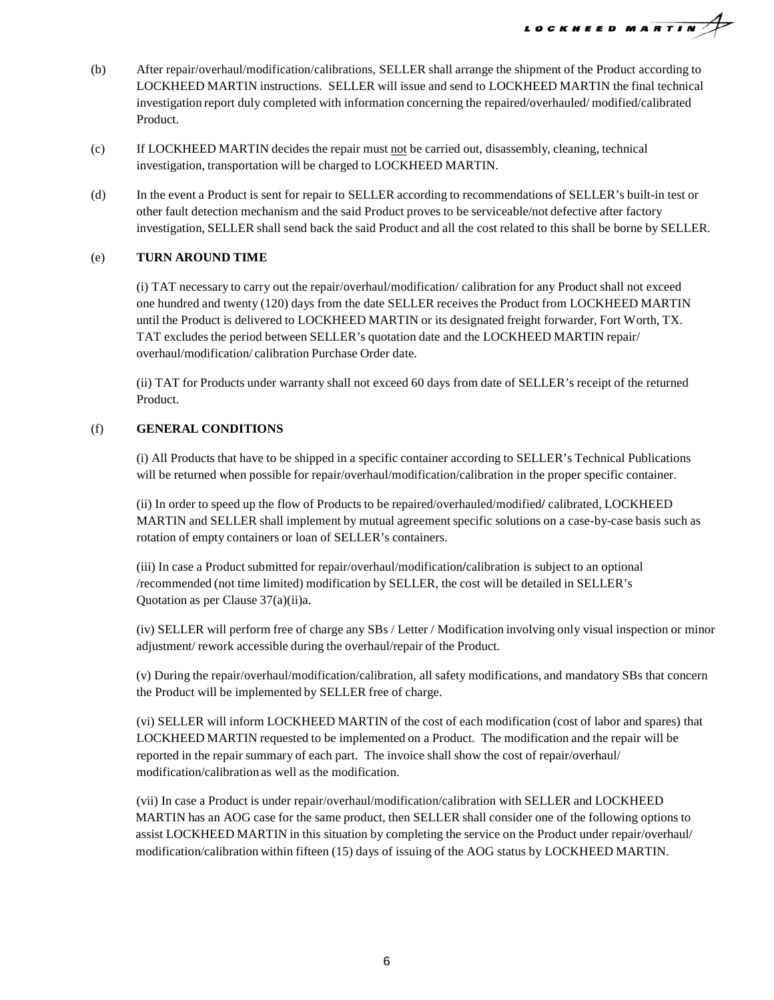

- (b) After repair/overhaul/modification/calibrations, SELLER shall arrange the shipment of the Product according to LOCKHEED MARTIN instructions. SELLER will issue and send to LOCKHEED MARTIN the final technical investigation report duly completed with information concerning the repaired/overhauled/ modified/calibrated Product.
- (c) If LOCKHEED MARTIN decides the repair must not be carried out, disassembly, cleaning, technical investigation, transportation will be charged to LOCKHEED MARTIN.
- (d) In the event a Product is sent for repair to SELLER according to recommendations of SELLER's built-in test or other fault detection mechanism and the said Product proves to be serviceable/not defective after factory investigation, SELLER shall send back the said Product and all the cost related to this shall be borne by SELLER.

# (e) **TURN AROUND TIME**

(i) TAT necessary to carry out the repair/overhaul/modification/ calibration for any Product shall not exceed one hundred and twenty (120) days from the date SELLER receives the Product from LOCKHEED MARTIN until the Product is delivered to LOCKHEED MARTIN or its designated freight forwarder, Fort Worth, TX. TAT excludes the period between SELLER's quotation date and the LOCKHEED MARTIN repair/ overhaul/modification/ calibration Purchase Order date.

(ii) TAT for Products under warranty shall not exceed 60 days from date of SELLER's receipt of the returned Product.

### (f) **GENERAL CONDITIONS**

(i) All Products that have to be shipped in a specific container according to SELLER's Technical Publications will be returned when possible for repair/overhaul/modification/calibration in the proper specific container.

(ii) In order to speed up the flow of Products to be repaired/overhauled/modified**/** calibrated, LOCKHEED MARTIN and SELLER shall implement by mutual agreement specific solutions on a case-by-case basis such as rotation of empty containers or loan of SELLER's containers.

(iii) In case a Product submitted for repair/overhaul/modification**/**calibration is subject to an optional /recommended (not time limited) modification by SELLER, the cost will be detailed in SELLER's Quotation as per Clause 37(a)(ii)a.

(iv) SELLER will perform free of charge any SBs / Letter / Modification involving only visual inspection or minor adjustment/ rework accessible during the overhaul/repair of the Product.

(v) During the repair/overhaul/modification/calibration, all safety modifications, and mandatory SBs that concern the Product will be implemented by SELLER free of charge.

(vi) SELLER will inform LOCKHEED MARTIN of the cost of each modification (cost of labor and spares) that LOCKHEED MARTIN requested to be implemented on a Product. The modification and the repair will be reported in the repair summary of each part. The invoice shall show the cost of repair/overhaul/ modification/calibration as well as the modification.

(vii) In case a Product is under repair/overhaul/modification/calibration with SELLER and LOCKHEED MARTIN has an AOG case for the same product, then SELLER shall consider one of the following options to assist LOCKHEED MARTIN in this situation by completing the service on the Product under repair/overhaul/ modification/calibration within fifteen (15) days of issuing of the AOG status by LOCKHEED MARTIN.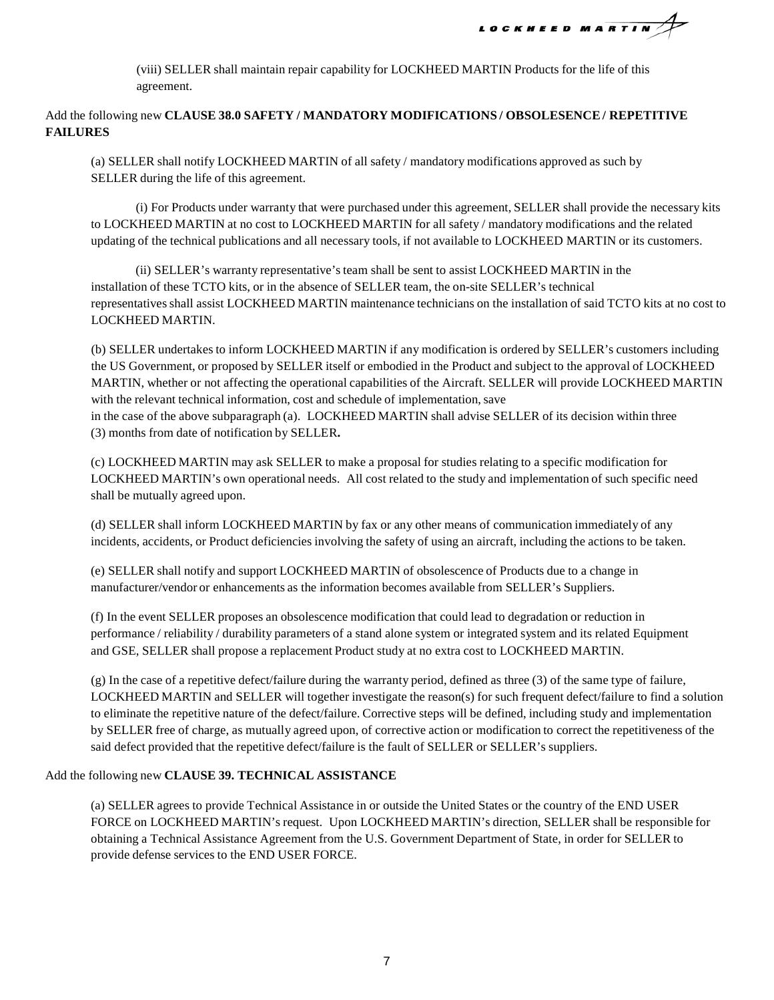LOCKHEED MARTIN

(viii) SELLER shall maintain repair capability for LOCKHEED MARTIN Products for the life of this agreement.

# Add the following new **CLAUSE 38.0 SAFETY / MANDATORY MODIFICATIONS / OBSOLESENCE/ REPETITIVE FAILURES**

(a) SELLER shall notify LOCKHEED MARTIN of all safety / mandatory modifications approved as such by SELLER during the life of this agreement.

(i) For Products under warranty that were purchased under this agreement, SELLER shall provide the necessary kits to LOCKHEED MARTIN at no cost to LOCKHEED MARTIN for all safety / mandatory modifications and the related updating of the technical publications and all necessary tools, if not available to LOCKHEED MARTIN or its customers.

(ii) SELLER's warranty representative'steam shall be sent to assist LOCKHEED MARTIN in the installation of these TCTO kits, or in the absence of SELLER team, the on-site SELLER's technical representativesshall assist LOCKHEED MARTIN maintenance technicians on the installation of said TCTO kits at no cost to LOCKHEED MARTIN.

(b) SELLER undertakes to inform LOCKHEED MARTIN if any modification is ordered by SELLER's customers including the US Government, or proposed by SELLER itself or embodied in the Product and subject to the approval of LOCKHEED MARTIN, whether or not affecting the operational capabilities of the Aircraft. SELLER will provide LOCKHEED MARTIN with the relevant technical information, cost and schedule of implementation, save in the case of the above subparagraph (a). LOCKHEED MARTIN shall advise SELLER of its decision within three (3) months from date of notification by SELLER**.**

(c) LOCKHEED MARTIN may ask SELLER to make a proposal for studies relating to a specific modification for LOCKHEED MARTIN's own operational needs. All cost related to the study and implementation of such specific need shall be mutually agreed upon.

(d) SELLER shall inform LOCKHEED MARTIN by fax or any other means of communication immediately of any incidents, accidents, or Product deficiencies involving the safety of using an aircraft, including the actions to be taken.

(e) SELLER shall notify and support LOCKHEED MARTIN of obsolescence of Products due to a change in manufacturer/vendor or enhancements as the information becomes available from SELLER's Suppliers.

(f) In the event SELLER proposes an obsolescence modification that could lead to degradation or reduction in performance / reliability / durability parameters of a stand alone system or integrated system and its related Equipment and GSE, SELLER shall propose a replacement Product study at no extra cost to LOCKHEED MARTIN.

(g) In the case of a repetitive defect/failure during the warranty period, defined as three (3) of the same type of failure, LOCKHEED MARTIN and SELLER will together investigate the reason(s) for such frequent defect/failure to find a solution to eliminate the repetitive nature of the defect/failure. Corrective steps will be defined, including study and implementation by SELLER free of charge, as mutually agreed upon, of corrective action or modification to correct the repetitiveness of the said defect provided that the repetitive defect/failure is the fault of SELLER or SELLER's suppliers.

# Add the following new **CLAUSE 39. TECHNICAL ASSISTANCE**

(a) SELLER agrees to provide Technical Assistance in or outside the United States or the country of the END USER FORCE on LOCKHEED MARTIN's request. Upon LOCKHEED MARTIN's direction, SELLER shall be responsible for obtaining a Technical Assistance Agreement from the U.S. Government Department of State, in order for SELLER to provide defense services to the END USER FORCE.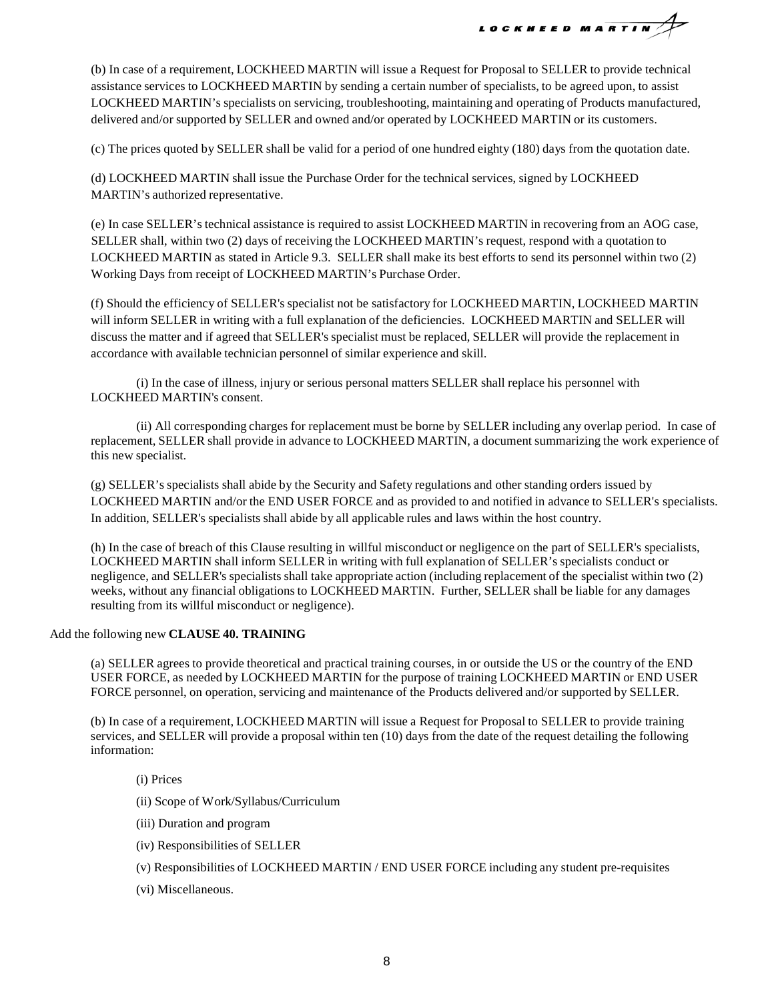LOCKHEED MARTIN

(b) In case of a requirement, LOCKHEED MARTIN will issue a Request for Proposal to SELLER to provide technical assistance services to LOCKHEED MARTIN by sending a certain number of specialists, to be agreed upon, to assist LOCKHEED MARTIN's specialists on servicing, troubleshooting, maintaining and operating of Products manufactured, delivered and/or supported by SELLER and owned and/or operated by LOCKHEED MARTIN or its customers.

(c) The prices quoted by SELLER shall be valid for a period of one hundred eighty (180) days from the quotation date.

(d) LOCKHEED MARTIN shall issue the Purchase Order for the technical services, signed by LOCKHEED MARTIN's authorized representative.

(e) In case SELLER's technical assistance is required to assist LOCKHEED MARTIN in recovering from an AOG case, SELLER shall, within two (2) days of receiving the LOCKHEED MARTIN's request, respond with a quotation to LOCKHEED MARTIN as stated in Article 9.3. SELLER shall make its best efforts to send its personnel within two (2) Working Days from receipt of LOCKHEED MARTIN's Purchase Order.

(f) Should the efficiency of SELLER's specialist not be satisfactory for LOCKHEED MARTIN, LOCKHEED MARTIN will inform SELLER in writing with a full explanation of the deficiencies. LOCKHEED MARTIN and SELLER will discuss the matter and if agreed that SELLER's specialist must be replaced, SELLER will provide the replacement in accordance with available technician personnel of similar experience and skill.

(i) In the case of illness, injury or serious personal matters SELLER shall replace his personnel with LOCKHEED MARTIN's consent.

(ii) All corresponding charges for replacement must be borne by SELLER including any overlap period. In case of replacement, SELLER shall provide in advance to LOCKHEED MARTIN, a document summarizing the work experience of this new specialist.

(g) SELLER's specialists shall abide by the Security and Safety regulations and other standing orders issued by LOCKHEED MARTIN and/or the END USER FORCE and as provided to and notified in advance to SELLER's specialists. In addition, SELLER's specialists shall abide by all applicable rules and laws within the host country.

(h) In the case of breach of this Clause resulting in willful misconduct or negligence on the part of SELLER's specialists, LOCKHEED MARTIN shall inform SELLER in writing with full explanation of SELLER's specialists conduct or negligence, and SELLER's specialists shall take appropriate action (including replacement of the specialist within two (2) weeks, without any financial obligations to LOCKHEED MARTIN. Further, SELLER shall be liable for any damages resulting from its willful misconduct or negligence).

Add the following new **CLAUSE 40. TRAINING**

(a) SELLER agrees to provide theoretical and practical training courses, in or outside the US or the country of the END USER FORCE, as needed by LOCKHEED MARTIN for the purpose of training LOCKHEED MARTIN or END USER FORCE personnel, on operation, servicing and maintenance of the Products delivered and/or supported by SELLER.

(b) In case of a requirement, LOCKHEED MARTIN will issue a Request for Proposal to SELLER to provide training services, and SELLER will provide a proposal within ten (10) days from the date of the request detailing the following information:

- (i) Prices
- (ii) Scope of Work/Syllabus/Curriculum
- (iii) Duration and program
- (iv) Responsibilities of SELLER
- (v) Responsibilities of LOCKHEED MARTIN / END USER FORCE including any student pre-requisites
- (vi) Miscellaneous.